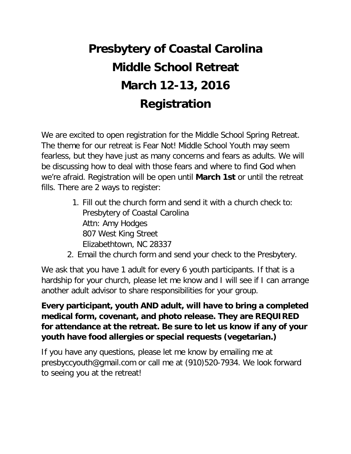# **Presbytery of Coastal Carolina Middle School Retreat March 12-13, 2016 Registration**

We are excited to open registration for the Middle School Spring Retreat. The theme for our retreat is Fear Not! Middle School Youth may seem fearless, but they have just as many concerns and fears as adults. We will be discussing how to deal with those fears and where to find God when we're afraid. Registration will be open until **March 1st** or until the retreat fills. There are 2 ways to register:

- 1. Fill out the church form and send it with a church check to: Presbytery of Coastal Carolina Attn: Amy Hodges 807 West King Street Elizabethtown, NC 28337
- 2. Email the church form and send your check to the Presbytery.

We ask that you have 1 adult for every 6 youth participants. If that is a hardship for your church, please let me know and I will see if I can arrange another adult advisor to share responsibilities for your group.

**Every participant, youth AND adult, will have to bring a completed medical form, covenant, and photo release. They are REQUIRED for attendance at the retreat. Be sure to let us know if any of your youth have food allergies or special requests (vegetarian.)**

If you have any questions, please let me know by emailing me at presbyccyouth@gmail.com or call me at (910)520-7934. We look forward to seeing you at the retreat!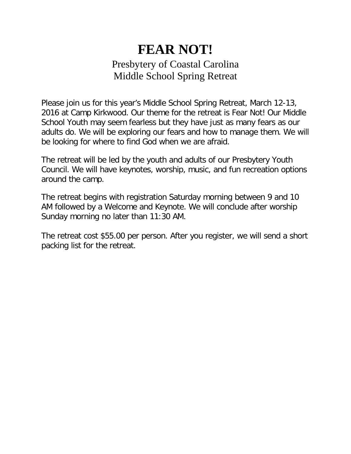## **FEAR NOT!** Presbytery of Coastal Carolina Middle School Spring Retreat

Please join us for this year's Middle School Spring Retreat, March 12-13, 2016 at Camp Kirkwood. Our theme for the retreat is Fear Not! Our Middle School Youth may seem fearless but they have just as many fears as our adults do. We will be exploring our fears and how to manage them. We will be looking for where to find God when we are afraid.

The retreat will be led by the youth and adults of our Presbytery Youth Council. We will have keynotes, worship, music, and fun recreation options around the camp.

The retreat begins with registration Saturday morning between 9 and 10 AM followed by a Welcome and Keynote. We will conclude after worship Sunday morning no later than 11:30 AM.

The retreat cost \$55.00 per person. After you register, we will send a short packing list for the retreat.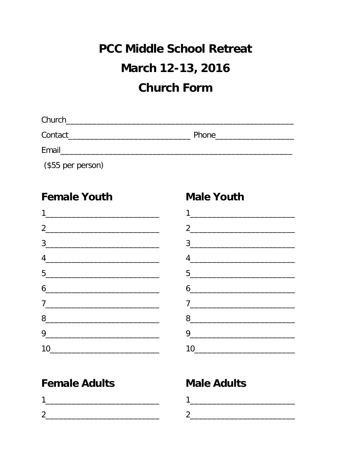# **PCC Middle School Retreat** March 12-13, 2016 **Church Form**

| Church  |       |
|---------|-------|
| Contact | Phone |
| Email   |       |

(\$55 per person)

#### **Female Youth**

| $\begin{array}{c c} 3 & \xrightarrow{\hspace{1cm}} & \xrightarrow{\hspace{1cm}} & \xrightarrow{\hspace{1cm}} & \xrightarrow{\hspace{1cm}} & \xrightarrow{\hspace{1cm}} & \xrightarrow{\hspace{1cm}} & \xrightarrow{\hspace{1cm}} & \xrightarrow{\hspace{1cm}} & \xrightarrow{\hspace{1cm}} & \xrightarrow{\hspace{1cm}} & \xrightarrow{\hspace{1cm}} & \xrightarrow{\hspace{1cm}} & \xrightarrow{\hspace{1cm}} & \xrightarrow{\hspace{1cm}} & \xrightarrow{\hspace{1cm}} & \xrightarrow{\hspace{1cm}} & \xrightarrow{\hspace{1cm}} & \xrightarrow{\hspace{1cm}} & \xrightarrow{\hspace{1cm}}$ |  |  |
|-----------------------------------------------------------------------------------------------------------------------------------------------------------------------------------------------------------------------------------------------------------------------------------------------------------------------------------------------------------------------------------------------------------------------------------------------------------------------------------------------------------------------------------------------------------------------------------------------|--|--|
| $4 \overline{\phantom{a} \phantom{a} \phantom{a} \phantom{a} \phantom{a} \phantom{a} \phantom{a} \phantom{a} \phantom{a} \phantom{a} \phantom{a} \phantom{a} \phantom{a} \phantom{a} \phantom{a} \phantom{a} \phantom{a} \phantom{a} \phantom{a} \phantom{a} \phantom{a} \phantom{a} \phantom{a} \phantom{a} \phantom{a} \phantom{a} \phantom{a} \phantom{a} \phantom{a} \phantom{a} \phantom{a} \phantom{a} \phantom{a} \phantom{a} \phantom{a} \phantom{a}$                                                                                                                                 |  |  |
| $\begin{tabular}{ c c c } \hline 5 & \quad \quad & \quad \quad & \quad \quad \\ \hline \end{tabular}$                                                                                                                                                                                                                                                                                                                                                                                                                                                                                         |  |  |
| $\begin{array}{c} \n6 \end{array}$                                                                                                                                                                                                                                                                                                                                                                                                                                                                                                                                                            |  |  |
| $\begin{array}{c} \n \stackrel{\frown}{\phantom{0}}\\ \n \stackrel{\frown}{\phantom{0}}\\ \n \end{array}$                                                                                                                                                                                                                                                                                                                                                                                                                                                                                     |  |  |
| 8                                                                                                                                                                                                                                                                                                                                                                                                                                                                                                                                                                                             |  |  |
| $9 \underline{\hspace{1.5cm}}$                                                                                                                                                                                                                                                                                                                                                                                                                                                                                                                                                                |  |  |
| $10 \underline{\hspace{2cm}} \underline{\hspace{2cm}}$                                                                                                                                                                                                                                                                                                                                                                                                                                                                                                                                        |  |  |

# $2 \qquad \qquad \overbrace{\qquad \qquad }$  $\begin{picture}(20,10) \put(0,0){\vector(1,0){100}} \put(15,0){\vector(1,0){100}} \put(15,0){\vector(1,0){100}} \put(15,0){\vector(1,0){100}} \put(15,0){\vector(1,0){100}} \put(15,0){\vector(1,0){100}} \put(15,0){\vector(1,0){100}} \put(15,0){\vector(1,0){100}} \put(15,0){\vector(1,0){100}} \put(15,0){\vector(1,0){100}} \put(15,0){\vector(1,0){100}} \$  $8$  $\begin{picture}(20,10) \put(0,0){\vector(1,0){100}} \put(15,0){\vector(1,0){100}} \put(15,0){\vector(1,0){100}} \put(15,0){\vector(1,0){100}} \put(15,0){\vector(1,0){100}} \put(15,0){\vector(1,0){100}} \put(15,0){\vector(1,0){100}} \put(15,0){\vector(1,0){100}} \put(15,0){\vector(1,0){100}} \put(15,0){\vector(1,0){100}} \put(15,0){\vector(1,0){100}} \$  $10$

## **Female Adults**

## **Male Adults**

**Male Youth**